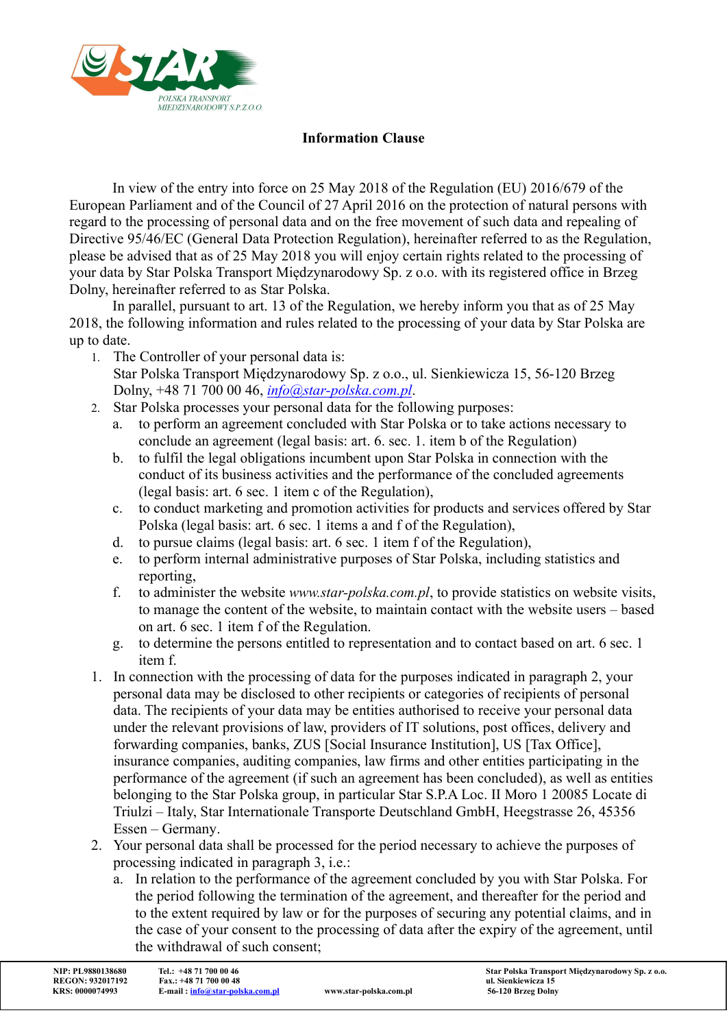

## Information Clause

In view of the entry into force on 25 May 2018 of the Regulation (EU) 2016/679 of the European Parliament and of the Council of 27 April 2016 on the protection of natural persons with regard to the processing of personal data and on the free movement of such data and repealing of Directive 95/46/EC (General Data Protection Regulation), hereinafter referred to as the Regulation, please be advised that as of 25 May 2018 you will enjoy certain rights related to the processing of your data by Star Polska Transport Międzynarodowy Sp. z o.o. with its registered office in Brzeg Dolny, hereinafter referred to as Star Polska.

In parallel, pursuant to art. 13 of the Regulation, we hereby inform you that as of 25 May 2018, the following information and rules related to the processing of your data by Star Polska are up to date.

- 1. The Controller of your personal data is: Star Polska Transport Międzynarodowy Sp. z o.o., ul. Sienkiewicza 15, 56-120 Brzeg
- Dolny, +48 71 700 00 46, info@star-polska.com.pl. 2. Star Polska processes your personal data for the following purposes:
	- a. to perform an agreement concluded with Star Polska or to take actions necessary to conclude an agreement (legal basis: art. 6. sec. 1. item b of the Regulation)
	- b. to fulfil the legal obligations incumbent upon Star Polska in connection with the conduct of its business activities and the performance of the concluded agreements (legal basis: art. 6 sec. 1 item c of the Regulation),
	- c. to conduct marketing and promotion activities for products and services offered by Star Polska (legal basis: art. 6 sec. 1 items a and f of the Regulation),
	- d. to pursue claims (legal basis: art. 6 sec. 1 item f of the Regulation),
	- e. to perform internal administrative purposes of Star Polska, including statistics and reporting,
	- f. to administer the website www.star-polska.com.pl, to provide statistics on website visits, to manage the content of the website, to maintain contact with the website users – based on art. 6 sec. 1 item f of the Regulation.
	- g. to determine the persons entitled to representation and to contact based on art. 6 sec. 1 item f.
- 1. In connection with the processing of data for the purposes indicated in paragraph 2, your personal data may be disclosed to other recipients or categories of recipients of personal data. The recipients of your data may be entities authorised to receive your personal data under the relevant provisions of law, providers of IT solutions, post offices, delivery and forwarding companies, banks, ZUS [Social Insurance Institution], US [Tax Office], insurance companies, auditing companies, law firms and other entities participating in the performance of the agreement (if such an agreement has been concluded), as well as entities belonging to the Star Polska group, in particular Star S.P.A Loc. II Moro 1 20085 Locate di Triulzi – Italy, Star Internationale Transporte Deutschland GmbH, Heegstrasse 26, 45356 Essen – Germany.
- 2. Your personal data shall be processed for the period necessary to achieve the purposes of processing indicated in paragraph 3, i.e.:
	- a. In relation to the performance of the agreement concluded by you with Star Polska. For the period following the termination of the agreement, and thereafter for the period and to the extent required by law or for the purposes of securing any potential claims, and in the case of your consent to the processing of data after the expiry of the agreement, until the withdrawal of such consent;